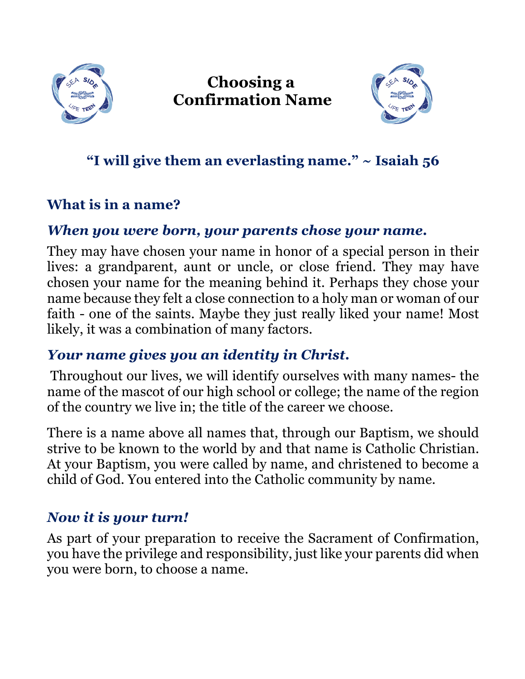

**Choosing a Confirmation Name**



## **"I will give them an everlasting name." ~ Isaiah 56**

#### **What is in a name?**

#### *When you were born, your parents chose your name.*

They may have chosen your name in honor of a special person in their lives: a grandparent, aunt or uncle, or close friend. They may have chosen your name for the meaning behind it. Perhaps they chose your name because they felt a close connection to a holy man or woman of our faith - one of the saints. Maybe they just really liked your name! Most likely, it was a combination of many factors.

#### *Your name gives you an identity in Christ.*

Throughout our lives, we will identify ourselves with many names- the name of the mascot of our high school or college; the name of the region of the country we live in; the title of the career we choose.

There is a name above all names that, through our Baptism, we should strive to be known to the world by and that name is Catholic Christian. At your Baptism, you were called by name, and christened to become a child of God. You entered into the Catholic community by name.

#### *Now it is your turn!*

As part of your preparation to receive the Sacrament of Confirmation, you have the privilege and responsibility, just like your parents did when you were born, to choose a name.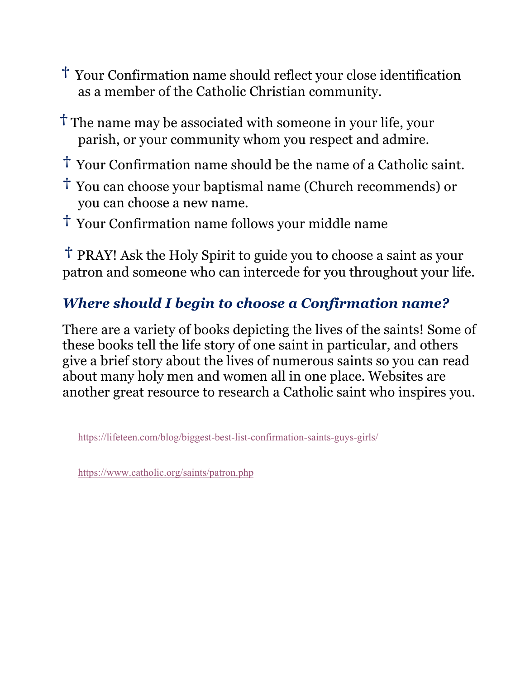- **†** Your Confirmation name should reflect your close identification as a member of the Catholic Christian community.
- **†** The name may be associated with someone in your life, your parish, or your community whom you respect and admire.
- **†** Your Confirmation name should be the name of a Catholic saint.
- **†** You can choose your baptismal name (Church recommends) or you can choose a new name.
- **†** Your Confirmation name follows your middle name

**†** PRAY! Ask the Holy Spirit to guide you to choose a saint as your patron and someone who can intercede for you throughout your life.

## *Where should I begin to choose a Confirmation name?*

There are a variety of books depicting the lives of the saints! Some of these books tell the life story of one saint in particular, and others give a brief story about the lives of numerous saints so you can read about many holy men and women all in one place. Websites are another great resource to research a Catholic saint who inspires you.

https://lifeteen.com/blog/biggest-best-list-confirmation-saints-guys-girls/

https://www.catholic.org/saints/patron.php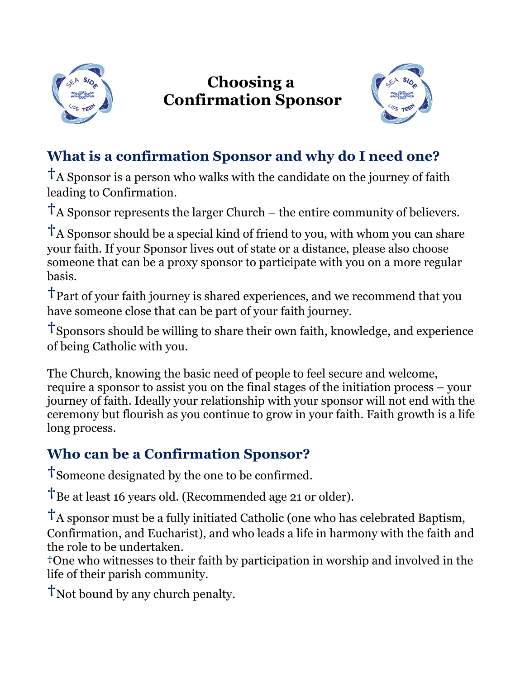

# **Choosing a Confirmation Sponsor**



## **What is a confirmation Sponsor and why do I need one?**

**†**A Sponsor is a person who walks with the candidate on the journey of faith leading to Confirmation.

**†**A Sponsor represents the larger Church – the entire community of believers.

**†**<sup>A</sup> Sponsor should be a special kind of friend to you, with whom you can share your faith. If your Sponsor lives out of state or a distance, please also choose someone that can be a proxy sponsor to participate with you on a more regular basis.

**†**Part of your faith journey is shared experiences, and we recommend that you have someone close that can be part of your faith journey.

**†**Sponsors should be willing to share their own faith, knowledge, and experience of being Catholic with you.

The Church, knowing the basic need of people to feel secure and welcome, require a sponsor to assist you on the final stages of the initiation process – your journey of faith. Ideally your relationship with your sponsor will not end with the ceremony but flourish as you continue to grow in your faith. Faith growth is a life long process.

## **Who can be a Confirmation Sponsor?**

**†**Someone designated by the one to be confirmed.

**†**Be at least 16 years old. (Recommended age 21 or older).

**†**A sponsor must be a fully initiated Catholic (one who has celebrated Baptism, Confirmation, and Eucharist), and who leads a life in harmony with the faith and the role to be undertaken.

**†**One who witnesses to their faith by participation in worship and involved in the life of their parish community.

**†**Not bound by any church penalty.